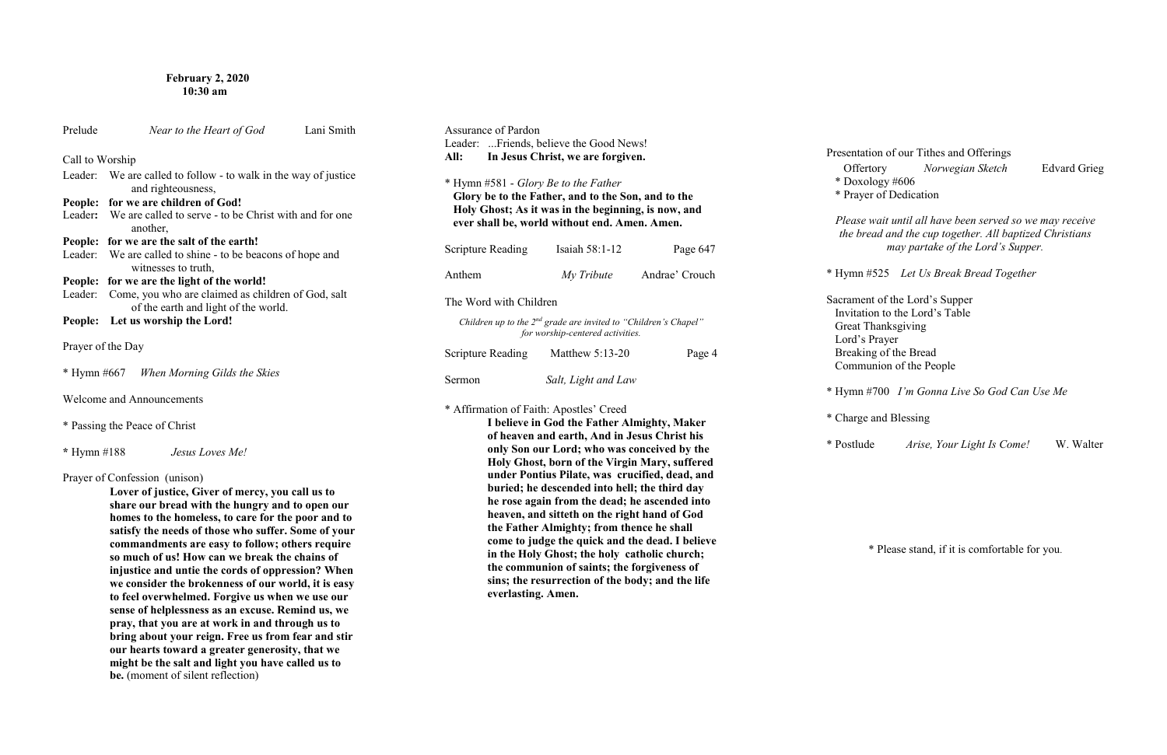# **February 2, 2020 10:30 am**

| Prelude         | Near to the Heart of God                                                                                                                                                                                                                                                                                                                                                                                                                                          | Lani Smith | Assu<br>Lead |
|-----------------|-------------------------------------------------------------------------------------------------------------------------------------------------------------------------------------------------------------------------------------------------------------------------------------------------------------------------------------------------------------------------------------------------------------------------------------------------------------------|------------|--------------|
| Call to Worship |                                                                                                                                                                                                                                                                                                                                                                                                                                                                   |            | All:         |
| Leader:         | We are called to follow - to walk in the way of justice<br>and righteousness,                                                                                                                                                                                                                                                                                                                                                                                     |            | $*$ Hy       |
| People:         | for we are children of God!                                                                                                                                                                                                                                                                                                                                                                                                                                       |            | Glo          |
|                 | Leader: We are called to serve - to be Christ with and for one<br>another,                                                                                                                                                                                                                                                                                                                                                                                        |            | Ho<br>eve    |
|                 | People: for we are the salt of the earth!                                                                                                                                                                                                                                                                                                                                                                                                                         |            |              |
|                 | Leader: We are called to shine - to be beacons of hope and<br>witnesses to truth,                                                                                                                                                                                                                                                                                                                                                                                 |            | Scrip        |
| People:         | for we are the light of the world!                                                                                                                                                                                                                                                                                                                                                                                                                                |            | Anth         |
| Leader:         | Come, you who are claimed as children of God, salt<br>of the earth and light of the world.                                                                                                                                                                                                                                                                                                                                                                        |            | The '        |
| People:         | Let us worship the Lord!                                                                                                                                                                                                                                                                                                                                                                                                                                          |            | Cl           |
|                 | Prayer of the Day                                                                                                                                                                                                                                                                                                                                                                                                                                                 |            | Scrip        |
|                 | * Hymn #667 When Morning Gilds the Skies                                                                                                                                                                                                                                                                                                                                                                                                                          |            | Serm         |
|                 | <b>Welcome and Announcements</b>                                                                                                                                                                                                                                                                                                                                                                                                                                  |            | * Aff        |
|                 | * Passing the Peace of Christ                                                                                                                                                                                                                                                                                                                                                                                                                                     |            |              |
| * Hymn $#188$   | Jesus Loves Me!                                                                                                                                                                                                                                                                                                                                                                                                                                                   |            |              |
|                 | Prayer of Confession (unison)<br>Lover of justice, Giver of mercy, you call us to<br>share our bread with the hungry and to open our<br>homes to the homeless, to care for the poor and to<br>satisfy the needs of those who suffer. Some of your<br>commandments are easy to follow; others require<br>so much of us! How can we break the chains of<br>injustice and untie the cords of oppression? When<br>we consider the brokenness of our world, it is easy |            |              |

| <b>Assurance of Pardon</b><br>Leader: Friends, believe the Good News!<br>All: | In Jesus Christ, we are forgiven.                                                                                                                                                                                                                                                                                                                                                                                                                                                                                                               |                                  |
|-------------------------------------------------------------------------------|-------------------------------------------------------------------------------------------------------------------------------------------------------------------------------------------------------------------------------------------------------------------------------------------------------------------------------------------------------------------------------------------------------------------------------------------------------------------------------------------------------------------------------------------------|----------------------------------|
| * Hymn #581 - Glory Be to the Father                                          | Glory be to the Father, and to the Son, and to the<br>Holy Ghost; As it was in the beginning, is now, and<br>ever shall be, world without end. Amen. Amen.                                                                                                                                                                                                                                                                                                                                                                                      |                                  |
| <b>Scripture Reading</b>                                                      | Isaiah 58:1-12                                                                                                                                                                                                                                                                                                                                                                                                                                                                                                                                  | Page 647                         |
| Anthem                                                                        |                                                                                                                                                                                                                                                                                                                                                                                                                                                                                                                                                 | <i>My Tribute</i> Andrae' Crouch |
| The Word with Children                                                        |                                                                                                                                                                                                                                                                                                                                                                                                                                                                                                                                                 |                                  |
|                                                                               | Children up to the $2^{nd}$ grade are invited to "Children's Chapel"<br>for worship-centered activities.                                                                                                                                                                                                                                                                                                                                                                                                                                        |                                  |
| Scripture Reading                                                             | Matthew $5:13-20$                                                                                                                                                                                                                                                                                                                                                                                                                                                                                                                               | Page 4                           |
| Sermon                                                                        | Salt, Light and Law                                                                                                                                                                                                                                                                                                                                                                                                                                                                                                                             |                                  |
| * Affirmation of Faith: Apostles' Creed                                       | I believe in God the Father Almighty, Maker<br>of heaven and earth, And in Jesus Christ his<br>only Son our Lord; who was conceived by the<br>Holy Ghost, born of the Virgin Mary, suffered<br>under Pontius Pilate, was crucified, dead, and<br>buried; he descended into hell; the third day<br>he rose again from the dead; he ascended into<br>heaven, and sitteth on the right hand of God<br>the Father Almighty; from thence he shall<br>come to judge the quick and the dead. I believe<br>in the Holy Ghost; the holy catholic church; |                                  |

**to feel overwhelmed. Forgive us when we use our sense of helplessness as an excuse. Remind us, we pray, that you are at work in and through us to bring about your reign. Free us from fear and stir our hearts toward a greater generosity, that we might be the salt and light you have called us to** 

be. (moment of silent reflection)

**the communion of saints; the forgiveness of sins; the resurrection of the body; and the life** 

**everlasting. Amen.**

Presentation of our Tithes and Offerings Offertory *Norwegian Sketch* Edvard Grieg \* Doxology #606 \* Prayer of Dedication

*Please wait until all have been served so we may receive the bread and the cup together. All baptized Christians may partake of the Lord's Supper.*

\* Hymn #525 *Let Us Break Bread Together* 

Sacrament of the Lord's Supper Invitation to the Lord's Table Great Thanksgiving Lord's Prayer Breaking of the Bread Communion of the People

\* Hymn #700 *I'm Gonna Live So God Can Use Me* 

\* Charge and Blessing

\* Postlude *Arise, Your Light Is Come!* W. Walter

\* Please stand, if it is comfortable for you.